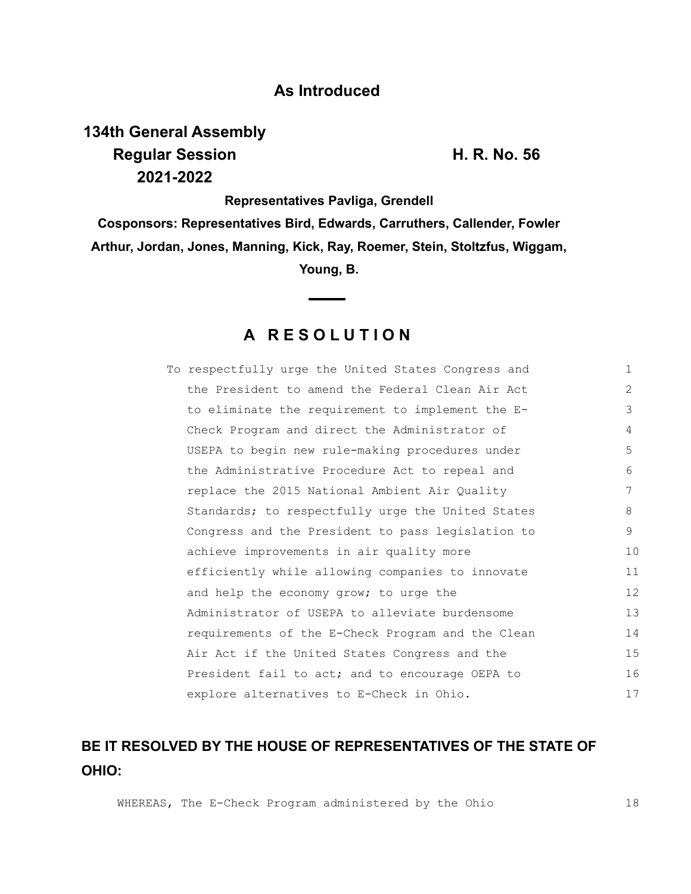## **As Introduced**

# **134th General Assembly Regular Session H. R. No. 56 2021-2022**

**Representatives Pavliga, Grendell**

**Cosponsors: Representatives Bird, Edwards, Carruthers, Callender, Fowler Arthur, Jordan, Jones, Manning, Kick, Ray, Roemer, Stein, Stoltzfus, Wiggam, Young, B.**

## **A R E S O L U T I O N**

| To respectfully urge the United States Congress and | $\mathbf{1}$ |
|-----------------------------------------------------|--------------|
| the President to amend the Federal Clean Air Act    | 2            |
| to eliminate the requirement to implement the E-    | 3            |
| Check Program and direct the Administrator of       | 4            |
| USEPA to begin new rule-making procedures under     | 5            |
| the Administrative Procedure Act to repeal and      | 6            |
| replace the 2015 National Ambient Air Quality       | 7            |
| Standards; to respectfully urge the United States   | 8            |
| Congress and the President to pass legislation to   | 9            |
| achieve improvements in air quality more            | 10           |
| efficiently while allowing companies to innovate    | 11           |
| and help the economy grow; to urge the              | 12           |
| Administrator of USEPA to alleviate burdensome      | 13           |
| requirements of the E-Check Program and the Clean   | 14           |
| Air Act if the United States Congress and the       | 15           |
| President fail to act; and to encourage OEPA to     | 16           |
| explore alternatives to E-Check in Ohio.            | 17           |

# **BE IT RESOLVED BY THE HOUSE OF REPRESENTATIVES OF THE STATE OF OHIO:**

WHEREAS, The E-Check Program administered by the Ohio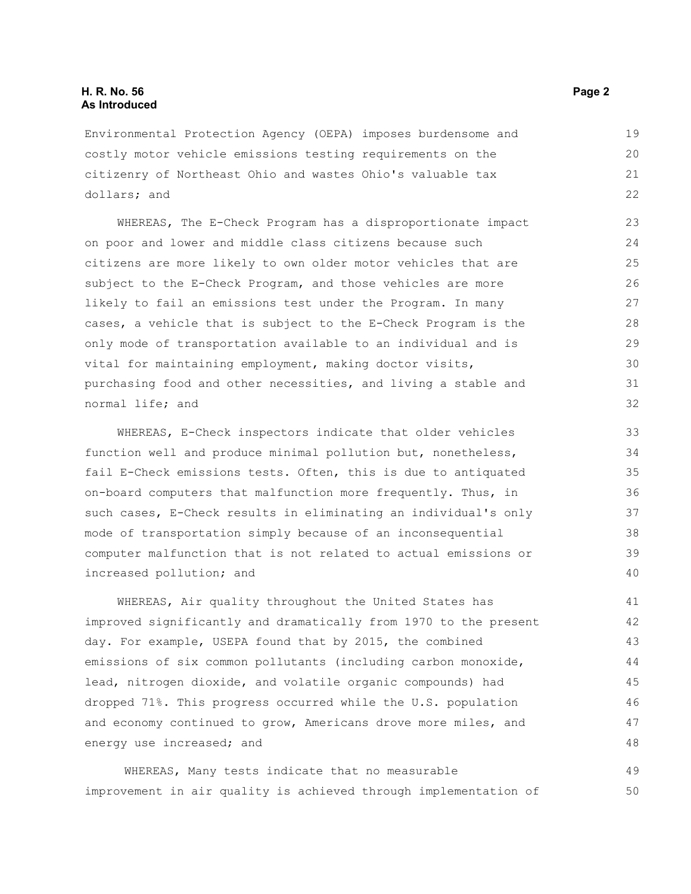### **H. R. No. 56 Page 2 As Introduced**

Environmental Protection Agency (OEPA) imposes burdensome and costly motor vehicle emissions testing requirements on the citizenry of Northeast Ohio and wastes Ohio's valuable tax dollars; and

WHEREAS, The E-Check Program has a disproportionate impact on poor and lower and middle class citizens because such citizens are more likely to own older motor vehicles that are subject to the E-Check Program, and those vehicles are more likely to fail an emissions test under the Program. In many cases, a vehicle that is subject to the E-Check Program is the only mode of transportation available to an individual and is vital for maintaining employment, making doctor visits, purchasing food and other necessities, and living a stable and normal life; and

WHEREAS, E-Check inspectors indicate that older vehicles function well and produce minimal pollution but, nonetheless, fail E-Check emissions tests. Often, this is due to antiquated on-board computers that malfunction more frequently. Thus, in such cases, E-Check results in eliminating an individual's only mode of transportation simply because of an inconsequential computer malfunction that is not related to actual emissions or increased pollution; and

WHEREAS, Air quality throughout the United States has improved significantly and dramatically from 1970 to the present day. For example, USEPA found that by 2015, the combined emissions of six common pollutants (including carbon monoxide, lead, nitrogen dioxide, and volatile organic compounds) had dropped 71%. This progress occurred while the U.S. population and economy continued to grow, Americans drove more miles, and energy use increased; and

 WHEREAS, Many tests indicate that no measurable improvement in air quality is achieved through implementation of 49 50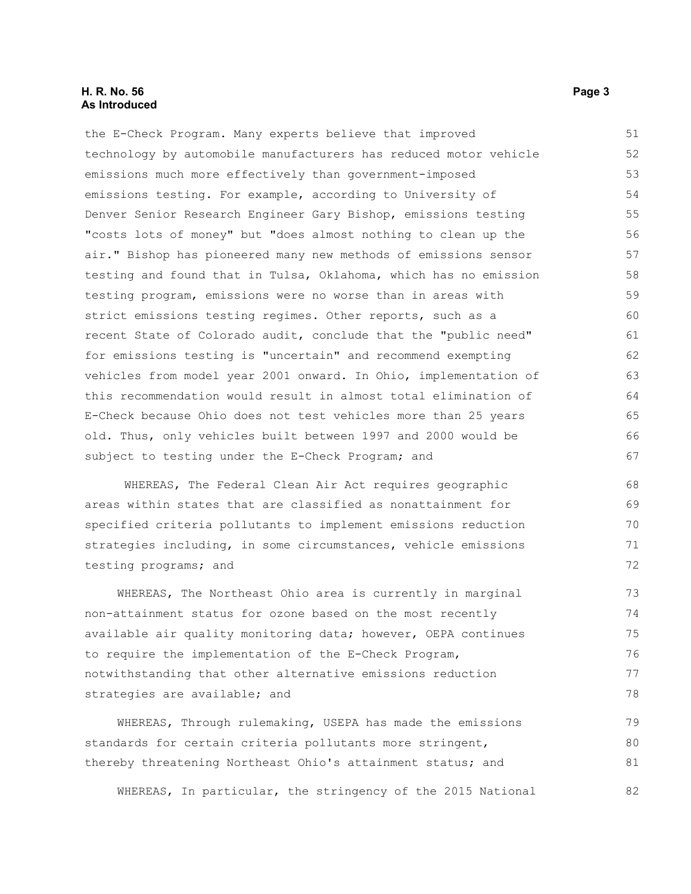### **H. R. No. 56 Page 3 As Introduced**

the E-Check Program. Many experts believe that improved technology by automobile manufacturers has reduced motor vehicle emissions much more effectively than government-imposed emissions testing. For example, according to University of Denver Senior Research Engineer Gary Bishop, emissions testing "costs lots of money" but "does almost nothing to clean up the air." Bishop has pioneered many new methods of emissions sensor testing and found that in Tulsa, Oklahoma, which has no emission testing program, emissions were no worse than in areas with strict emissions testing regimes. Other reports, such as a recent State of Colorado audit, conclude that the "public need" for emissions testing is "uncertain" and recommend exempting vehicles from model year 2001 onward. In Ohio, implementation of this recommendation would result in almost total elimination of E-Check because Ohio does not test vehicles more than 25 years old. Thus, only vehicles built between 1997 and 2000 would be subject to testing under the E-Check Program; and 51 52 53 54 55 56 57 58 59 60 61 62 63 64 65 66 67

 WHEREAS, The Federal Clean Air Act requires geographic areas within states that are classified as nonattainment for specified criteria pollutants to implement emissions reduction strategies including, in some circumstances, vehicle emissions testing programs; and

WHEREAS, The Northeast Ohio area is currently in marginal non-attainment status for ozone based on the most recently available air quality monitoring data; however, OEPA continues to require the implementation of the E-Check Program, notwithstanding that other alternative emissions reduction strategies are available; and

WHEREAS, Through rulemaking, USEPA has made the emissions standards for certain criteria pollutants more stringent, thereby threatening Northeast Ohio's attainment status; and

WHEREAS, In particular, the stringency of the 2015 National

79 80 81

82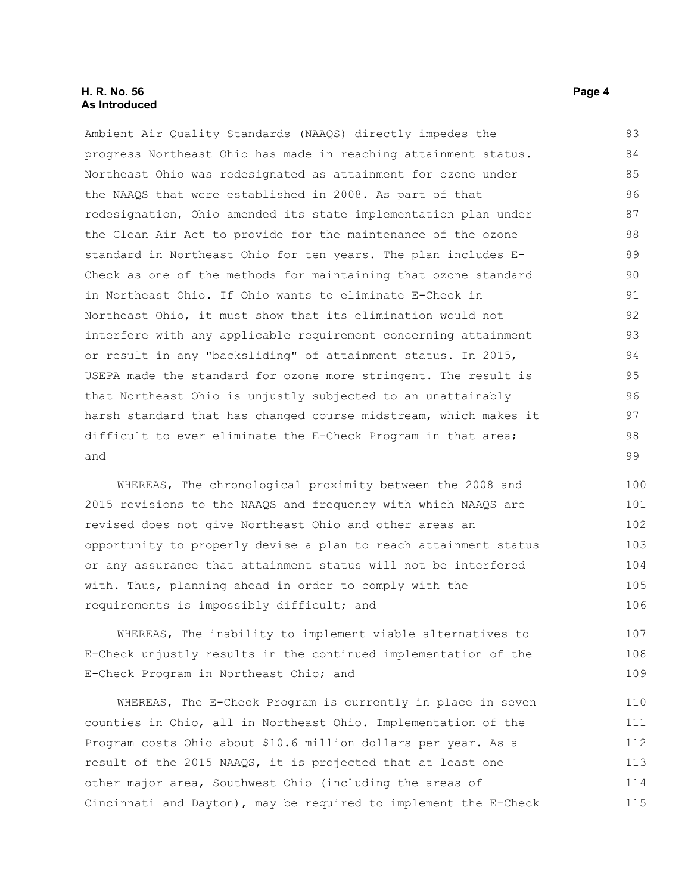### **H. R. No. 56 Page 4 As Introduced**

Ambient Air Quality Standards (NAAQS) directly impedes the progress Northeast Ohio has made in reaching attainment status. Northeast Ohio was redesignated as attainment for ozone under the NAAQS that were established in 2008. As part of that redesignation, Ohio amended its state implementation plan under the Clean Air Act to provide for the maintenance of the ozone standard in Northeast Ohio for ten years. The plan includes E-Check as one of the methods for maintaining that ozone standard in Northeast Ohio. If Ohio wants to eliminate E-Check in Northeast Ohio, it must show that its elimination would not interfere with any applicable requirement concerning attainment or result in any "backsliding" of attainment status. In 2015, USEPA made the standard for ozone more stringent. The result is that Northeast Ohio is unjustly subjected to an unattainably harsh standard that has changed course midstream, which makes it difficult to ever eliminate the E-Check Program in that area; and 83 84 85 86 87 88 89 90 91 92 93 94 95 96 97 98 99

WHEREAS, The chronological proximity between the 2008 and 2015 revisions to the NAAQS and frequency with which NAAQS are revised does not give Northeast Ohio and other areas an opportunity to properly devise a plan to reach attainment status or any assurance that attainment status will not be interfered with. Thus, planning ahead in order to comply with the requirements is impossibly difficult; and 100 101 102 103 104 105 106

WHEREAS, The inability to implement viable alternatives to E-Check unjustly results in the continued implementation of the E-Check Program in Northeast Ohio; and 107 108 109

WHEREAS, The E-Check Program is currently in place in seven counties in Ohio, all in Northeast Ohio. Implementation of the Program costs Ohio about \$10.6 million dollars per year. As a result of the 2015 NAAQS, it is projected that at least one other major area, Southwest Ohio (including the areas of Cincinnati and Dayton), may be required to implement the E-Check 110 111 112 113 114 115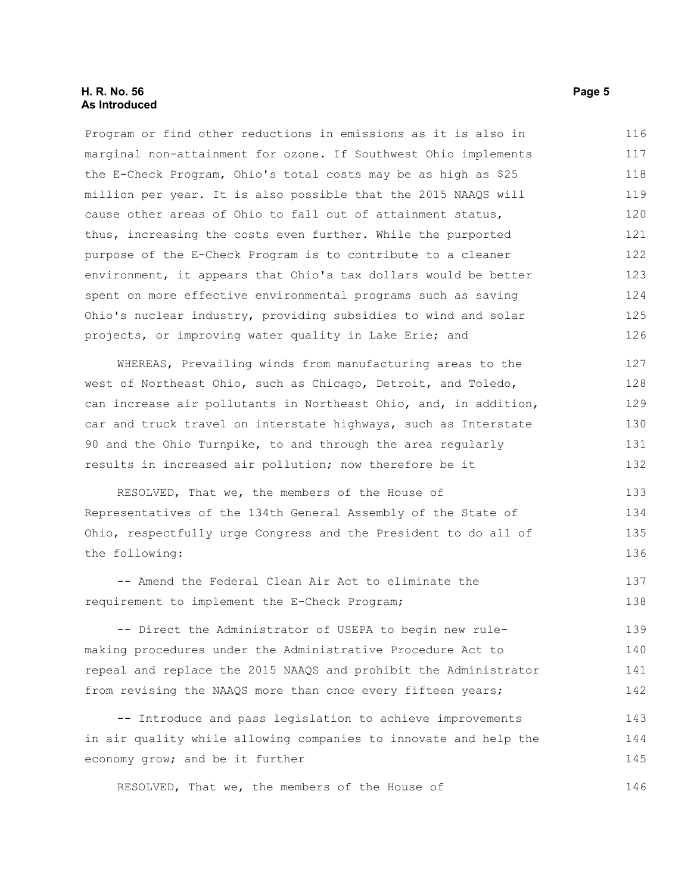### **H. R. No. 56 Page 5 As Introduced**

Program or find other reductions in emissions as it is also in marginal non-attainment for ozone. If Southwest Ohio implements the E-Check Program, Ohio's total costs may be as high as \$25 million per year. It is also possible that the 2015 NAAQS will cause other areas of Ohio to fall out of attainment status, thus, increasing the costs even further. While the purported purpose of the E-Check Program is to contribute to a cleaner environment, it appears that Ohio's tax dollars would be better spent on more effective environmental programs such as saving Ohio's nuclear industry, providing subsidies to wind and solar projects, or improving water quality in Lake Erie; and 116 117 118 119 120 121 122 123 124 125 126

WHEREAS, Prevailing winds from manufacturing areas to the west of Northeast Ohio, such as Chicago, Detroit, and Toledo, can increase air pollutants in Northeast Ohio, and, in addition, car and truck travel on interstate highways, such as Interstate 90 and the Ohio Turnpike, to and through the area regularly results in increased air pollution; now therefore be it 127 128 129 130 131 132

RESOLVED, That we, the members of the House of Representatives of the 134th General Assembly of the State of Ohio, respectfully urge Congress and the President to do all of the following: 133 134 135 136

-- Amend the Federal Clean Air Act to eliminate the requirement to implement the E-Check Program; 137 138

-- Direct the Administrator of USEPA to begin new rulemaking procedures under the Administrative Procedure Act to repeal and replace the 2015 NAAQS and prohibit the Administrator from revising the NAAQS more than once every fifteen years; 139 140 141 142

-- Introduce and pass legislation to achieve improvements in air quality while allowing companies to innovate and help the economy grow; and be it further 143 144 145

RESOLVED, That we, the members of the House of

146